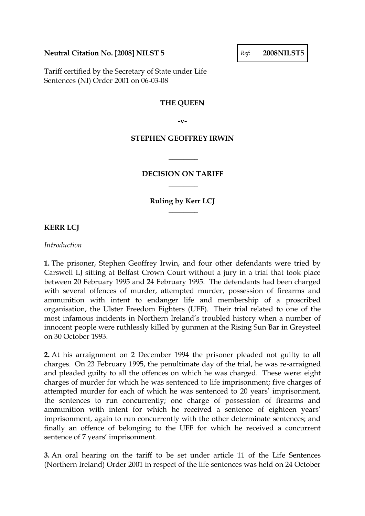## **Neutral Citation No. [2008] NILST 5** *Ref:* **2008NILST5**

Tariff certified by the Secretary of State under Life Sentences (NI) Order 2001 on 06-03-08

### **THE QUEEN**

**-v-**

## **STEPHEN GEOFFREY IRWIN**

## **DECISION ON TARIFF**  $\overline{\phantom{a}}$

**\_\_\_\_\_\_\_\_**

**Ruling by Kerr LCJ \_\_\_\_\_\_\_\_**

# **KERR LCJ**

#### *Introduction*

**1.** The prisoner, Stephen Geoffrey Irwin, and four other defendants were tried by Carswell LJ sitting at Belfast Crown Court without a jury in a trial that took place between 20 February 1995 and 24 February 1995. The defendants had been charged with several offences of murder, attempted murder, possession of firearms and ammunition with intent to endanger life and membership of a proscribed organisation, the Ulster Freedom Fighters (UFF). Their trial related to one of the most infamous incidents in Northern Ireland's troubled history when a number of innocent people were ruthlessly killed by gunmen at the Rising Sun Bar in Greysteel on 30 October 1993.

**2.** At his arraignment on 2 December 1994 the prisoner pleaded not guilty to all charges. On 23 February 1995, the penultimate day of the trial, he was re-arraigned and pleaded guilty to all the offences on which he was charged. These were: eight charges of murder for which he was sentenced to life imprisonment; five charges of attempted murder for each of which he was sentenced to 20 years' imprisonment, the sentences to run concurrently; one charge of possession of firearms and ammunition with intent for which he received a sentence of eighteen years' imprisonment, again to run concurrently with the other determinate sentences; and finally an offence of belonging to the UFF for which he received a concurrent sentence of 7 years' imprisonment.

**3.** An oral hearing on the tariff to be set under article 11 of the Life Sentences (Northern Ireland) Order 2001 in respect of the life sentences was held on 24 October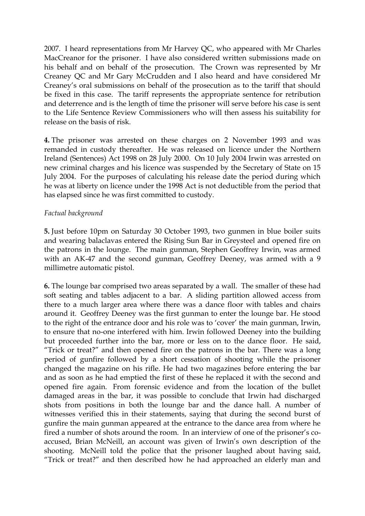2007. I heard representations from Mr Harvey QC, who appeared with Mr Charles MacCreanor for the prisoner. I have also considered written submissions made on his behalf and on behalf of the prosecution. The Crown was represented by Mr Creaney QC and Mr Gary McCrudden and I also heard and have considered Mr Creaney's oral submissions on behalf of the prosecution as to the tariff that should be fixed in this case. The tariff represents the appropriate sentence for retribution and deterrence and is the length of time the prisoner will serve before his case is sent to the Life Sentence Review Commissioners who will then assess his suitability for release on the basis of risk.

**4.** The prisoner was arrested on these charges on 2 November 1993 and was remanded in custody thereafter. He was released on licence under the Northern Ireland (Sentences) Act 1998 on 28 July 2000. On 10 July 2004 Irwin was arrested on new criminal charges and his licence was suspended by the Secretary of State on 15 July 2004. For the purposes of calculating his release date the period during which he was at liberty on licence under the 1998 Act is not deductible from the period that has elapsed since he was first committed to custody.

## *Factual background*

**5.** Just before 10pm on Saturday 30 October 1993, two gunmen in blue boiler suits and wearing balaclavas entered the Rising Sun Bar in Greysteel and opened fire on the patrons in the lounge. The main gunman, Stephen Geoffrey Irwin, was armed with an AK-47 and the second gunman, Geoffrey Deeney, was armed with a 9 millimetre automatic pistol.

**6.** The lounge bar comprised two areas separated by a wall. The smaller of these had soft seating and tables adjacent to a bar. A sliding partition allowed access from there to a much larger area where there was a dance floor with tables and chairs around it. Geoffrey Deeney was the first gunman to enter the lounge bar. He stood to the right of the entrance door and his role was to 'cover' the main gunman, Irwin, to ensure that no-one interfered with him. Irwin followed Deeney into the building but proceeded further into the bar, more or less on to the dance floor. He said, "Trick or treat?" and then opened fire on the patrons in the bar. There was a long period of gunfire followed by a short cessation of shooting while the prisoner changed the magazine on his rifle. He had two magazines before entering the bar and as soon as he had emptied the first of these he replaced it with the second and opened fire again. From forensic evidence and from the location of the bullet damaged areas in the bar, it was possible to conclude that Irwin had discharged shots from positions in both the lounge bar and the dance hall. A number of witnesses verified this in their statements, saying that during the second burst of gunfire the main gunman appeared at the entrance to the dance area from where he fired a number of shots around the room. In an interview of one of the prisoner's coaccused, Brian McNeill, an account was given of Irwin's own description of the shooting. McNeill told the police that the prisoner laughed about having said, "Trick or treat?" and then described how he had approached an elderly man and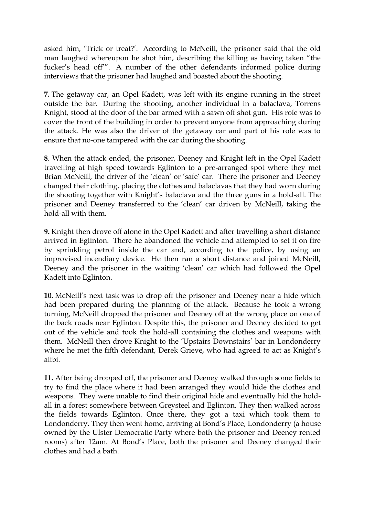asked him, 'Trick or treat?'. According to McNeill, the prisoner said that the old man laughed whereupon he shot him, describing the killing as having taken "the fucker's head off'". A number of the other defendants informed police during interviews that the prisoner had laughed and boasted about the shooting.

**7.** The getaway car, an Opel Kadett, was left with its engine running in the street outside the bar. During the shooting, another individual in a balaclava, Torrens Knight, stood at the door of the bar armed with a sawn off shot gun. His role was to cover the front of the building in order to prevent anyone from approaching during the attack. He was also the driver of the getaway car and part of his role was to ensure that no-one tampered with the car during the shooting.

**8**. When the attack ended, the prisoner, Deeney and Knight left in the Opel Kadett travelling at high speed towards Eglinton to a pre-arranged spot where they met Brian McNeill, the driver of the 'clean' or 'safe' car. There the prisoner and Deeney changed their clothing, placing the clothes and balaclavas that they had worn during the shooting together with Knight's balaclava and the three guns in a hold-all. The prisoner and Deeney transferred to the 'clean' car driven by McNeill, taking the hold-all with them.

**9.** Knight then drove off alone in the Opel Kadett and after travelling a short distance arrived in Eglinton. There he abandoned the vehicle and attempted to set it on fire by sprinkling petrol inside the car and, according to the police, by using an improvised incendiary device. He then ran a short distance and joined McNeill, Deeney and the prisoner in the waiting 'clean' car which had followed the Opel Kadett into Eglinton.

**10.** McNeill's next task was to drop off the prisoner and Deeney near a hide which had been prepared during the planning of the attack. Because he took a wrong turning, McNeill dropped the prisoner and Deeney off at the wrong place on one of the back roads near Eglinton. Despite this, the prisoner and Deeney decided to get out of the vehicle and took the hold-all containing the clothes and weapons with them. McNeill then drove Knight to the 'Upstairs Downstairs' bar in Londonderry where he met the fifth defendant, Derek Grieve, who had agreed to act as Knight's alibi.

**11.** After being dropped off, the prisoner and Deeney walked through some fields to try to find the place where it had been arranged they would hide the clothes and weapons. They were unable to find their original hide and eventually hid the holdall in a forest somewhere between Greysteel and Eglinton. They then walked across the fields towards Eglinton. Once there, they got a taxi which took them to Londonderry. They then went home, arriving at Bond's Place, Londonderry (a house owned by the Ulster Democratic Party where both the prisoner and Deeney rented rooms) after 12am. At Bond's Place, both the prisoner and Deeney changed their clothes and had a bath.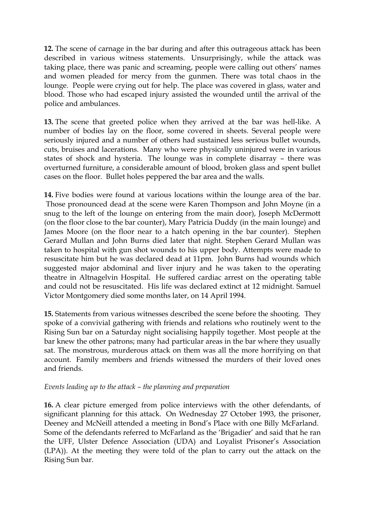**12.** The scene of carnage in the bar during and after this outrageous attack has been described in various witness statements. Unsurprisingly, while the attack was taking place, there was panic and screaming, people were calling out others' names and women pleaded for mercy from the gunmen. There was total chaos in the lounge. People were crying out for help. The place was covered in glass, water and blood. Those who had escaped injury assisted the wounded until the arrival of the police and ambulances.

**13.** The scene that greeted police when they arrived at the bar was hell-like. A number of bodies lay on the floor, some covered in sheets. Several people were seriously injured and a number of others had sustained less serious bullet wounds, cuts, bruises and lacerations. Many who were physically uninjured were in various states of shock and hysteria. The lounge was in complete disarray – there was overturned furniture, a considerable amount of blood, broken glass and spent bullet cases on the floor. Bullet holes peppered the bar area and the walls.

**14.** Five bodies were found at various locations within the lounge area of the bar. Those pronounced dead at the scene were Karen Thompson and John Moyne (in a snug to the left of the lounge on entering from the main door), Joseph McDermott (on the floor close to the bar counter), Mary Patricia Duddy (in the main lounge) and James Moore (on the floor near to a hatch opening in the bar counter). Stephen Gerard Mullan and John Burns died later that night. Stephen Gerard Mullan was taken to hospital with gun shot wounds to his upper body. Attempts were made to resuscitate him but he was declared dead at 11pm. John Burns had wounds which suggested major abdominal and liver injury and he was taken to the operating theatre in Altnagelvin Hospital. He suffered cardiac arrest on the operating table and could not be resuscitated. His life was declared extinct at 12 midnight. Samuel Victor Montgomery died some months later, on 14 April 1994.

**15.** Statements from various witnesses described the scene before the shooting. They spoke of a convivial gathering with friends and relations who routinely went to the Rising Sun bar on a Saturday night socialising happily together. Most people at the bar knew the other patrons; many had particular areas in the bar where they usually sat. The monstrous, murderous attack on them was all the more horrifying on that account. Family members and friends witnessed the murders of their loved ones and friends.

### *Events leading up to the attack – the planning and preparation*

**16.** A clear picture emerged from police interviews with the other defendants, of significant planning for this attack. On Wednesday 27 October 1993, the prisoner, Deeney and McNeill attended a meeting in Bond's Place with one Billy McFarland. Some of the defendants referred to McFarland as the 'Brigadier' and said that he ran the UFF, Ulster Defence Association (UDA) and Loyalist Prisoner's Association (LPA)). At the meeting they were told of the plan to carry out the attack on the Rising Sun bar.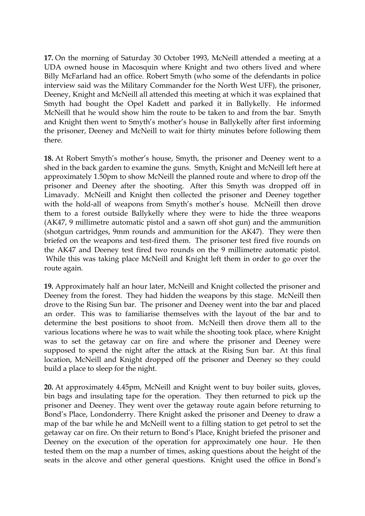**17.** On the morning of Saturday 30 October 1993, McNeill attended a meeting at a UDA owned house in Macosquin where Knight and two others lived and where Billy McFarland had an office. Robert Smyth (who some of the defendants in police interview said was the Military Commander for the North West UFF), the prisoner, Deeney, Knight and McNeill all attended this meeting at which it was explained that Smyth had bought the Opel Kadett and parked it in Ballykelly. He informed McNeill that he would show him the route to be taken to and from the bar. Smyth and Knight then went to Smyth's mother's house in Ballykelly after first informing the prisoner, Deeney and McNeill to wait for thirty minutes before following them there.

**18.** At Robert Smyth's mother's house, Smyth, the prisoner and Deeney went to a shed in the back garden to examine the guns. Smyth, Knight and McNeill left here at approximately 1.50pm to show McNeill the planned route and where to drop off the prisoner and Deeney after the shooting. After this Smyth was dropped off in Limavady. McNeill and Knight then collected the prisoner and Deeney together with the hold-all of weapons from Smyth's mother's house. McNeill then drove them to a forest outside Ballykelly where they were to hide the three weapons (AK47, 9 millimetre automatic pistol and a sawn off shot gun) and the ammunition (shotgun cartridges, 9mm rounds and ammunition for the AK47). They were then briefed on the weapons and test-fired them. The prisoner test fired five rounds on the AK47 and Deeney test fired two rounds on the 9 millimetre automatic pistol. While this was taking place McNeill and Knight left them in order to go over the route again.

**19.** Approximately half an hour later, McNeill and Knight collected the prisoner and Deeney from the forest. They had hidden the weapons by this stage. McNeill then drove to the Rising Sun bar. The prisoner and Deeney went into the bar and placed an order. This was to familiarise themselves with the layout of the bar and to determine the best positions to shoot from. McNeill then drove them all to the various locations where he was to wait while the shooting took place, where Knight was to set the getaway car on fire and where the prisoner and Deeney were supposed to spend the night after the attack at the Rising Sun bar. At this final location, McNeill and Knight dropped off the prisoner and Deeney so they could build a place to sleep for the night.

**20.** At approximately 4.45pm, McNeill and Knight went to buy boiler suits, gloves, bin bags and insulating tape for the operation. They then returned to pick up the prisoner and Deeney. They went over the getaway route again before returning to Bond's Place, Londonderry. There Knight asked the prisoner and Deeney to draw a map of the bar while he and McNeill went to a filling station to get petrol to set the getaway car on fire. On their return to Bond's Place, Knight briefed the prisoner and Deeney on the execution of the operation for approximately one hour. He then tested them on the map a number of times, asking questions about the height of the seats in the alcove and other general questions. Knight used the office in Bond's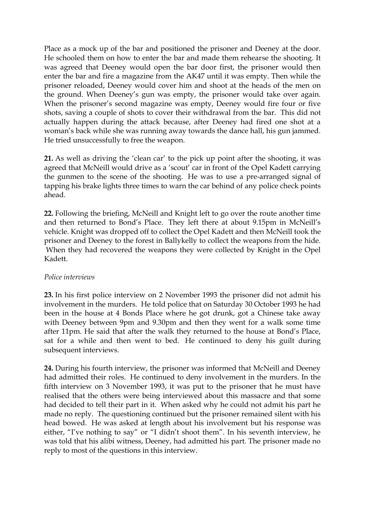Place as a mock up of the bar and positioned the prisoner and Deeney at the door. He schooled them on how to enter the bar and made them rehearse the shooting. It was agreed that Deeney would open the bar door first, the prisoner would then enter the bar and fire a magazine from the AK47 until it was empty. Then while the prisoner reloaded, Deeney would cover him and shoot at the heads of the men on the ground. When Deeney's gun was empty, the prisoner would take over again. When the prisoner's second magazine was empty, Deeney would fire four or five shots, saving a couple of shots to cover their withdrawal from the bar. This did not actually happen during the attack because, after Deeney had fired one shot at a woman's back while she was running away towards the dance hall, his gun jammed. He tried unsuccessfully to free the weapon.

**21.** As well as driving the 'clean car' to the pick up point after the shooting, it was agreed that McNeill would drive as a 'scout' car in front of the Opel Kadett carrying the gunmen to the scene of the shooting. He was to use a pre-arranged signal of tapping his brake lights three times to warn the car behind of any police check points ahead.

**22.** Following the briefing, McNeill and Knight left to go over the route another time and then returned to Bond's Place. They left there at about 9.15pm in McNeill's vehicle. Knight was dropped off to collect the Opel Kadett and then McNeill took the prisoner and Deeney to the forest in Ballykelly to collect the weapons from the hide. When they had recovered the weapons they were collected by Knight in the Opel Kadett.

# *Police interviews*

**23.** In his first police interview on 2 November 1993 the prisoner did not admit his involvement in the murders. He told police that on Saturday 30 October 1993 he had been in the house at 4 Bonds Place where he got drunk, got a Chinese take away with Deeney between 9pm and 9.30pm and then they went for a walk some time after 11pm. He said that after the walk they returned to the house at Bond's Place, sat for a while and then went to bed. He continued to deny his guilt during subsequent interviews.

**24.** During his fourth interview, the prisoner was informed that McNeill and Deeney had admitted their roles. He continued to deny involvement in the murders. In the fifth interview on 3 November 1993, it was put to the prisoner that he must have realised that the others were being interviewed about this massacre and that some had decided to tell their part in it. When asked why he could not admit his part he made no reply. The questioning continued but the prisoner remained silent with his head bowed. He was asked at length about his involvement but his response was either, "I've nothing to say" or "I didn't shoot them". In his seventh interview, he was told that his alibi witness, Deeney, had admitted his part. The prisoner made no reply to most of the questions in this interview.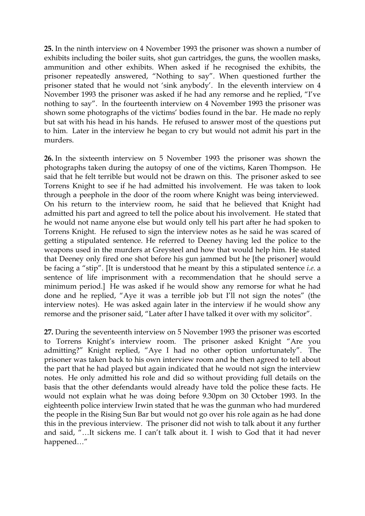**25.** In the ninth interview on 4 November 1993 the prisoner was shown a number of exhibits including the boiler suits, shot gun cartridges, the guns, the woollen masks, ammunition and other exhibits. When asked if he recognised the exhibits, the prisoner repeatedly answered, "Nothing to say". When questioned further the prisoner stated that he would not 'sink anybody'. In the eleventh interview on 4 November 1993 the prisoner was asked if he had any remorse and he replied, "I've nothing to say". In the fourteenth interview on 4 November 1993 the prisoner was shown some photographs of the victims' bodies found in the bar. He made no reply but sat with his head in his hands. He refused to answer most of the questions put to him. Later in the interview he began to cry but would not admit his part in the murders.

**26.** In the sixteenth interview on 5 November 1993 the prisoner was shown the photographs taken during the autopsy of one of the victims, Karen Thompson. He said that he felt terrible but would not be drawn on this. The prisoner asked to see Torrens Knight to see if he had admitted his involvement. He was taken to look through a peephole in the door of the room where Knight was being interviewed. On his return to the interview room, he said that he believed that Knight had admitted his part and agreed to tell the police about his involvement. He stated that he would not name anyone else but would only tell his part after he had spoken to Torrens Knight. He refused to sign the interview notes as he said he was scared of getting a stipulated sentence. He referred to Deeney having led the police to the weapons used in the murders at Greysteel and how that would help him. He stated that Deeney only fired one shot before his gun jammed but he [the prisoner] would be facing a "stip". [It is understood that he meant by this a stipulated sentence *i.e.* a sentence of life imprisonment with a recommendation that he should serve a minimum period.] He was asked if he would show any remorse for what he had done and he replied, "Aye it was a terrible job but I'll not sign the notes" (the interview notes). He was asked again later in the interview if he would show any remorse and the prisoner said, "Later after I have talked it over with my solicitor".

**27.** During the seventeenth interview on 5 November 1993 the prisoner was escorted to Torrens Knight's interview room. The prisoner asked Knight "Are you admitting?" Knight replied, "Aye I had no other option unfortunately". The prisoner was taken back to his own interview room and he then agreed to tell about the part that he had played but again indicated that he would not sign the interview notes. He only admitted his role and did so without providing full details on the basis that the other defendants would already have told the police these facts. He would not explain what he was doing before 9.30pm on 30 October 1993. In the eighteenth police interview Irwin stated that he was the gunman who had murdered the people in the Rising Sun Bar but would not go over his role again as he had done this in the previous interview. The prisoner did not wish to talk about it any further and said, "…It sickens me. I can't talk about it. I wish to God that it had never happened…"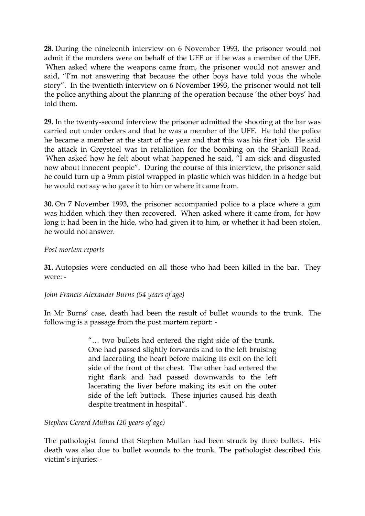**28.** During the nineteenth interview on 6 November 1993, the prisoner would not admit if the murders were on behalf of the UFF or if he was a member of the UFF. When asked where the weapons came from, the prisoner would not answer and said, "I'm not answering that because the other boys have told yous the whole story". In the twentieth interview on 6 November 1993, the prisoner would not tell the police anything about the planning of the operation because 'the other boys' had told them.

**29.** In the twenty-second interview the prisoner admitted the shooting at the bar was carried out under orders and that he was a member of the UFF. He told the police he became a member at the start of the year and that this was his first job. He said the attack in Greysteel was in retaliation for the bombing on the Shankill Road. When asked how he felt about what happened he said, "I am sick and disgusted now about innocent people". During the course of this interview, the prisoner said he could turn up a 9mm pistol wrapped in plastic which was hidden in a hedge but he would not say who gave it to him or where it came from.

**30.** On 7 November 1993, the prisoner accompanied police to a place where a gun was hidden which they then recovered. When asked where it came from, for how long it had been in the hide, who had given it to him, or whether it had been stolen, he would not answer.

## *Post mortem reports*

**31.** Autopsies were conducted on all those who had been killed in the bar. They were: -

### *John Francis Alexander Burns (54 years of age)*

In Mr Burns' case, death had been the result of bullet wounds to the trunk. The following is a passage from the post mortem report: -

> "… two bullets had entered the right side of the trunk. One had passed slightly forwards and to the left bruising and lacerating the heart before making its exit on the left side of the front of the chest. The other had entered the right flank and had passed downwards to the left lacerating the liver before making its exit on the outer side of the left buttock. These injuries caused his death despite treatment in hospital".

# *Stephen Gerard Mullan (20 years of age)*

The pathologist found that Stephen Mullan had been struck by three bullets. His death was also due to bullet wounds to the trunk. The pathologist described this victim's injuries: -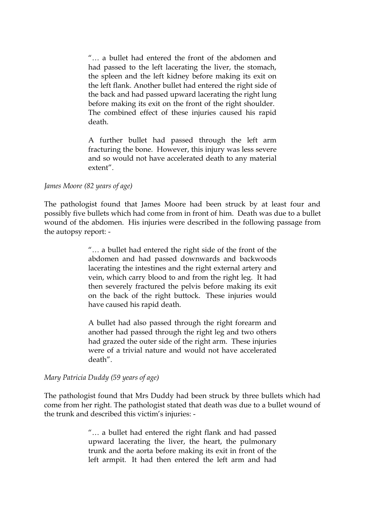"… a bullet had entered the front of the abdomen and had passed to the left lacerating the liver, the stomach, the spleen and the left kidney before making its exit on the left flank. Another bullet had entered the right side of the back and had passed upward lacerating the right lung before making its exit on the front of the right shoulder. The combined effect of these injuries caused his rapid death.

A further bullet had passed through the left arm fracturing the bone. However, this injury was less severe and so would not have accelerated death to any material extent".

#### *James Moore (82 years of age)*

The pathologist found that James Moore had been struck by at least four and possibly five bullets which had come from in front of him. Death was due to a bullet wound of the abdomen. His injuries were described in the following passage from the autopsy report: -

> "… a bullet had entered the right side of the front of the abdomen and had passed downwards and backwoods lacerating the intestines and the right external artery and vein, which carry blood to and from the right leg. It had then severely fractured the pelvis before making its exit on the back of the right buttock. These injuries would have caused his rapid death.

> A bullet had also passed through the right forearm and another had passed through the right leg and two others had grazed the outer side of the right arm. These injuries were of a trivial nature and would not have accelerated death".

### *Mary Patricia Duddy (59 years of age)*

The pathologist found that Mrs Duddy had been struck by three bullets which had come from her right. The pathologist stated that death was due to a bullet wound of the trunk and described this victim's injuries: -

> "… a bullet had entered the right flank and had passed upward lacerating the liver, the heart, the pulmonary trunk and the aorta before making its exit in front of the left armpit. It had then entered the left arm and had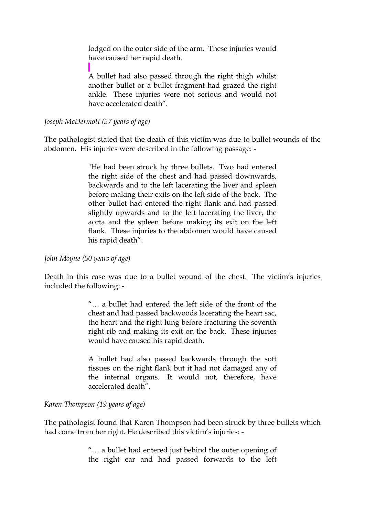lodged on the outer side of the arm. These injuries would have caused her rapid death.

A bullet had also passed through the right thigh whilst another bullet or a bullet fragment had grazed the right ankle. These injuries were not serious and would not have accelerated death".

### *Joseph McDermott (57 years of age)*

The pathologist stated that the death of this victim was due to bullet wounds of the abdomen. His injuries were described in the following passage: -

> "He had been struck by three bullets. Two had entered the right side of the chest and had passed downwards, backwards and to the left lacerating the liver and spleen before making their exits on the left side of the back. The other bullet had entered the right flank and had passed slightly upwards and to the left lacerating the liver, the aorta and the spleen before making its exit on the left flank. These injuries to the abdomen would have caused his rapid death".

### *John Moyne (50 years of age)*

Death in this case was due to a bullet wound of the chest. The victim's injuries included the following: -

> "… a bullet had entered the left side of the front of the chest and had passed backwoods lacerating the heart sac, the heart and the right lung before fracturing the seventh right rib and making its exit on the back. These injuries would have caused his rapid death.

> A bullet had also passed backwards through the soft tissues on the right flank but it had not damaged any of the internal organs. It would not, therefore, have accelerated death"

### *Karen Thompson (19 years of age)*

The pathologist found that Karen Thompson had been struck by three bullets which had come from her right. He described this victim's injuries: -

> "… a bullet had entered just behind the outer opening of the right ear and had passed forwards to the left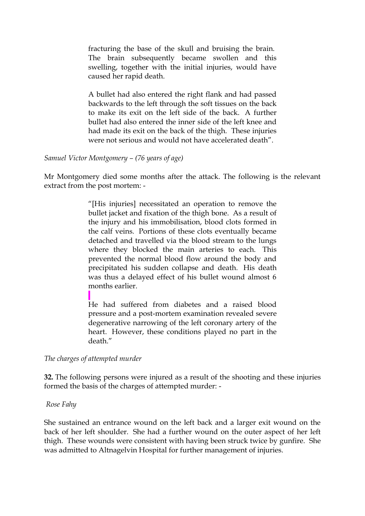fracturing the base of the skull and bruising the brain. The brain subsequently became swollen and this swelling, together with the initial injuries, would have caused her rapid death.

A bullet had also entered the right flank and had passed backwards to the left through the soft tissues on the back to make its exit on the left side of the back. A further bullet had also entered the inner side of the left knee and had made its exit on the back of the thigh. These injuries were not serious and would not have accelerated death".

## *Samuel Victor Montgomery – (76 years of age)*

Mr Montgomery died some months after the attack. The following is the relevant extract from the post mortem: -

> "[His injuries] necessitated an operation to remove the bullet jacket and fixation of the thigh bone. As a result of the injury and his immobilisation, blood clots formed in the calf veins. Portions of these clots eventually became detached and travelled via the blood stream to the lungs where they blocked the main arteries to each. This prevented the normal blood flow around the body and precipitated his sudden collapse and death. His death was thus a delayed effect of his bullet wound almost 6 months earlier.

> He had suffered from diabetes and a raised blood pressure and a post-mortem examination revealed severe degenerative narrowing of the left coronary artery of the heart. However, these conditions played no part in the death."

### *The charges of attempted murder*

**32.** The following persons were injured as a result of the shooting and these injuries formed the basis of the charges of attempted murder: -

### *Rose Fahy*

She sustained an entrance wound on the left back and a larger exit wound on the back of her left shoulder. She had a further wound on the outer aspect of her left thigh. These wounds were consistent with having been struck twice by gunfire. She was admitted to Altnagelvin Hospital for further management of injuries.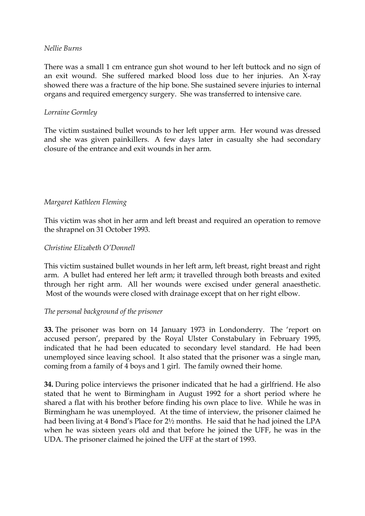#### *Nellie Burns*

There was a small 1 cm entrance gun shot wound to her left buttock and no sign of an exit wound. She suffered marked blood loss due to her injuries. An X-ray showed there was a fracture of the hip bone. She sustained severe injuries to internal organs and required emergency surgery. She was transferred to intensive care.

#### *Lorraine Gormley*

The victim sustained bullet wounds to her left upper arm. Her wound was dressed and she was given painkillers. A few days later in casualty she had secondary closure of the entrance and exit wounds in her arm.

### *Margaret Kathleen Fleming*

This victim was shot in her arm and left breast and required an operation to remove the shrapnel on 31 October 1993.

#### *Christine Elizabeth O'Donnell*

This victim sustained bullet wounds in her left arm, left breast, right breast and right arm. A bullet had entered her left arm; it travelled through both breasts and exited through her right arm. All her wounds were excised under general anaesthetic. Most of the wounds were closed with drainage except that on her right elbow.

### *The personal background of the prisoner*

**33.** The prisoner was born on 14 January 1973 in Londonderry. The 'report on accused person', prepared by the Royal Ulster Constabulary in February 1995, indicated that he had been educated to secondary level standard. He had been unemployed since leaving school. It also stated that the prisoner was a single man, coming from a family of 4 boys and 1 girl. The family owned their home.

**34.** During police interviews the prisoner indicated that he had a girlfriend. He also stated that he went to Birmingham in August 1992 for a short period where he shared a flat with his brother before finding his own place to live. While he was in Birmingham he was unemployed. At the time of interview, the prisoner claimed he had been living at 4 Bond's Place for 2½ months. He said that he had joined the LPA when he was sixteen years old and that before he joined the UFF, he was in the UDA. The prisoner claimed he joined the UFF at the start of 1993.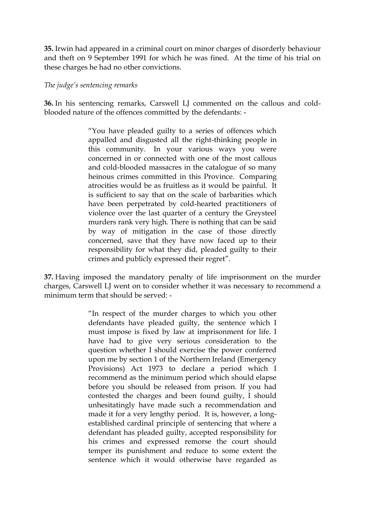**35.** Irwin had appeared in a criminal court on minor charges of disorderly behaviour and theft on 9 September 1991 for which he was fined. At the time of his trial on these charges he had no other convictions.

*The judge's sentencing remarks*

**36.** In his sentencing remarks, Carswell LJ commented on the callous and coldblooded nature of the offences committed by the defendants: -

> "You have pleaded guilty to a series of offences which appalled and disgusted all the right-thinking people in this community. In your various ways you were concerned in or connected with one of the most callous and cold-blooded massacres in the catalogue of so many heinous crimes committed in this Province. Comparing atrocities would be as fruitless as it would be painful. It is sufficient to say that on the scale of barbarities which have been perpetrated by cold-hearted practitioners of violence over the last quarter of a century the Greysteel murders rank very high. There is nothing that can be said by way of mitigation in the case of those directly concerned, save that they have now faced up to their responsibility for what they did, pleaded guilty to their crimes and publicly expressed their regret".

**37.** Having imposed the mandatory penalty of life imprisonment on the murder charges, Carswell LJ went on to consider whether it was necessary to recommend a minimum term that should be served: -

> "In respect of the murder charges to which you other defendants have pleaded guilty, the sentence which I must impose is fixed by law at imprisonment for life. I have had to give very serious consideration to the question whether I should exercise the power conferred upon me by section 1 of the Northern Ireland (Emergency Provisions) Act 1973 to declare a period which I recommend as the minimum period which should elapse before you should be released from prison. If you had contested the charges and been found guilty, I should unhesitatingly have made such a recommendation and made it for a very lengthy period. It is, however, a longestablished cardinal principle of sentencing that where a defendant has pleaded guilty, accepted responsibility for his crimes and expressed remorse the court should temper its punishment and reduce to some extent the sentence which it would otherwise have regarded as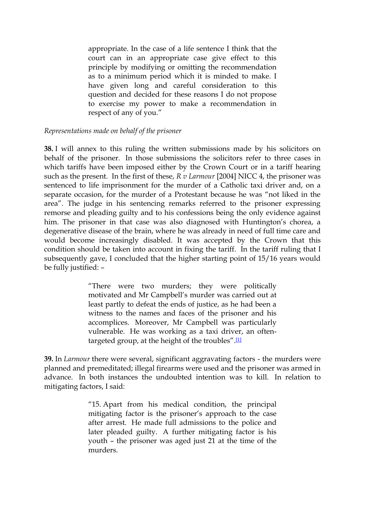appropriate. In the case of a life sentence I think that the court can in an appropriate case give effect to this principle by modifying or omitting the recommendation as to a minimum period which it is minded to make. I have given long and careful consideration to this question and decided for these reasons I do not propose to exercise my power to make a recommendation in respect of any of you."

#### *Representations made on behalf of the prisoner*

**38.** I will annex to this ruling the written submissions made by his solicitors on behalf of the prisoner. In those submissions the solicitors refer to three cases in which tariffs have been imposed either by the Crown Court or in a tariff hearing such as the present. In the first of these, *R v Larmour* [2004] NICC 4, the prisoner was sentenced to life imprisonment for the murder of a Catholic taxi driver and, on a separate occasion, for the murder of a Protestant because he was "not liked in the area". The judge in his sentencing remarks referred to the prisoner expressing remorse and pleading guilty and to his confessions being the only evidence against him. The prisoner in that case was also diagnosed with Huntington's chorea, a degenerative disease of the brain, where he was already in need of full time care and would become increasingly disabled. It was accepted by the Crown that this condition should be taken into account in fixing the tariff. In the tariff ruling that I subsequently gave, I concluded that the higher starting point of 15/16 years would be fully justified: –

> "There were two murders; they were politically motivated and Mr Campbell's murder was carried out at least partly to defeat the ends of justice, as he had been a witness to the names and faces of the prisoner and his accomplices. Moreover, Mr Campbell was particularly vulnerable. He was working as a taxi driver, an oftentargeted group, at the height of the troubles".  $[1]$

**39.** In *Larmour* there were several, significant aggravating factors - the murders were planned and premeditated; illegal firearms were used and the prisoner was armed in advance. In both instances the undoubted intention was to kill. In relation to mitigating factors, I said:

> "15. Apart from his medical condition, the principal mitigating factor is the prisoner's approach to the case after arrest. He made full admissions to the police and later pleaded guilty. A further mitigating factor is his youth – the prisoner was aged just 21 at the time of the murders.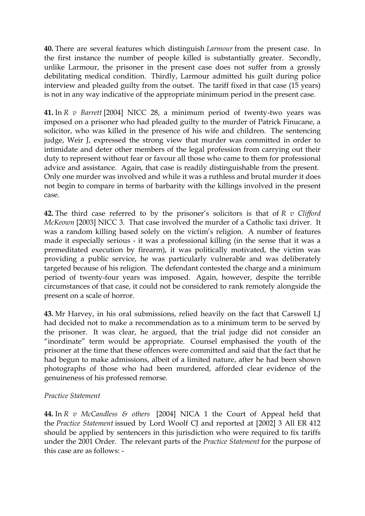**40.** There are several features which distinguish *Larmour* from the present case. In the first instance the number of people killed is substantially greater. Secondly, unlike Larmour, the prisoner in the present case does not suffer from a grossly debilitating medical condition. Thirdly, Larmour admitted his guilt during police interview and pleaded guilty from the outset. The tariff fixed in that case (15 years) is not in any way indicative of the appropriate minimum period in the present case.

**41.** In *R v Barrett* [2004] NICC 28, a minimum period of twenty-two years was imposed on a prisoner who had pleaded guilty to the murder of Patrick Finucane, a solicitor, who was killed in the presence of his wife and children. The sentencing judge, Weir J, expressed the strong view that murder was committed in order to intimidate and deter other members of the legal profession from carrying out their duty to represent without fear or favour all those who came to them for professional advice and assistance. Again, that case is readily distinguishable from the present. Only one murder was involved and while it was a ruthless and brutal murder it does not begin to compare in terms of barbarity with the killings involved in the present case.

**42.** The third case referred to by the prisoner's solicitors is that of *R v Clifford McKeown* [2003] NICC 3. That case involved the murder of a Catholic taxi driver. It was a random killing based solely on the victim's religion. A number of features made it especially serious - it was a professional killing (in the sense that it was a premeditated execution by firearm), it was politically motivated, the victim was providing a public service, he was particularly vulnerable and was deliberately targeted because of his religion. The defendant contested the charge and a minimum period of twenty-four years was imposed. Again, however, despite the terrible circumstances of that case, it could not be considered to rank remotely alongside the present on a scale of horror.

**43.** Mr Harvey, in his oral submissions, relied heavily on the fact that Carswell LJ had decided not to make a recommendation as to a minimum term to be served by the prisoner. It was clear, he argued, that the trial judge did not consider an "inordinate" term would be appropriate. Counsel emphasised the youth of the prisoner at the time that these offences were committed and said that the fact that he had begun to make admissions, albeit of a limited nature, after he had been shown photographs of those who had been murdered, afforded clear evidence of the genuineness of his professed remorse.

# *Practice Statement*

**44.** In *R v McCandless & others* [2004] NICA 1 the Court of Appeal held that the *Practice Statement* issued by Lord Woolf CJ and reported at [2002] 3 All ER 412 should be applied by sentencers in this jurisdiction who were required to fix tariffs under the 2001 Order. The relevant parts of the *Practice Statement* for the purpose of this case are as follows: -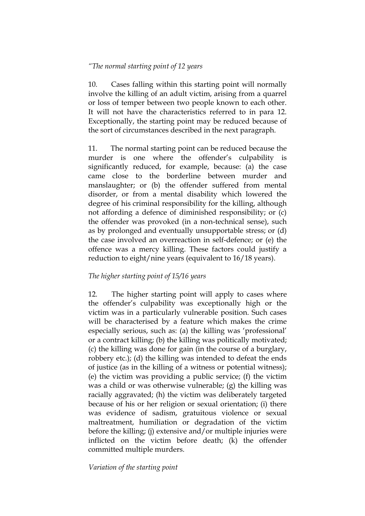## *"The normal starting point of 12 years*

10. Cases falling within this starting point will normally involve the killing of an adult victim, arising from a quarrel or loss of temper between two people known to each other. It will not have the characteristics referred to in para 12. Exceptionally, the starting point may be reduced because of the sort of circumstances described in the next paragraph.

11. The normal starting point can be reduced because the murder is one where the offender's culpability is significantly reduced, for example, because: (a) the case came close to the borderline between murder and manslaughter; or (b) the offender suffered from mental disorder, or from a mental disability which lowered the degree of his criminal responsibility for the killing, although not affording a defence of diminished responsibility; or (c) the offender was provoked (in a non-technical sense), such as by prolonged and eventually unsupportable stress; or (d) the case involved an overreaction in self-defence; or (e) the offence was a mercy killing. These factors could justify a reduction to eight/nine years (equivalent to 16/18 years).

### *The higher starting point of 15/16 years*

12. The higher starting point will apply to cases where the offender's culpability was exceptionally high or the victim was in a particularly vulnerable position. Such cases will be characterised by a feature which makes the crime especially serious, such as: (a) the killing was 'professional' or a contract killing; (b) the killing was politically motivated; (c) the killing was done for gain (in the course of a burglary, robbery etc.); (d) the killing was intended to defeat the ends of justice (as in the killing of a witness or potential witness); (e) the victim was providing a public service; (f) the victim was a child or was otherwise vulnerable; (g) the killing was racially aggravated; (h) the victim was deliberately targeted because of his or her religion or sexual orientation; (i) there was evidence of sadism, gratuitous violence or sexual maltreatment, humiliation or degradation of the victim before the killing; (j) extensive and/or multiple injuries were inflicted on the victim before death; (k) the offender committed multiple murders.

### *Variation of the starting point*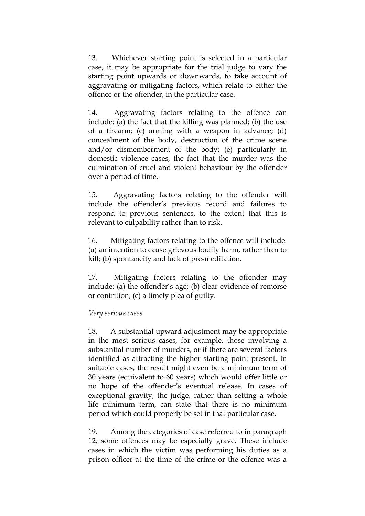13. Whichever starting point is selected in a particular case, it may be appropriate for the trial judge to vary the starting point upwards or downwards, to take account of aggravating or mitigating factors, which relate to either the offence or the offender, in the particular case.

14. Aggravating factors relating to the offence can include: (a) the fact that the killing was planned; (b) the use of a firearm; (c) arming with a weapon in advance; (d) concealment of the body, destruction of the crime scene and/or dismemberment of the body; (e) particularly in domestic violence cases, the fact that the murder was the culmination of cruel and violent behaviour by the offender over a period of time.

15. Aggravating factors relating to the offender will include the offender's previous record and failures to respond to previous sentences, to the extent that this is relevant to culpability rather than to risk.

16. Mitigating factors relating to the offence will include: (a) an intention to cause grievous bodily harm, rather than to kill; (b) spontaneity and lack of pre-meditation.

17. Mitigating factors relating to the offender may include: (a) the offender's age; (b) clear evidence of remorse or contrition; (c) a timely plea of guilty.

### *Very serious cases*

18. A substantial upward adjustment may be appropriate in the most serious cases, for example, those involving a substantial number of murders, or if there are several factors identified as attracting the higher starting point present. In suitable cases, the result might even be a minimum term of 30 years (equivalent to 60 years) which would offer little or no hope of the offender's eventual release. In cases of exceptional gravity, the judge, rather than setting a whole life minimum term, can state that there is no minimum period which could properly be set in that particular case.

19. Among the categories of case referred to in paragraph 12, some offences may be especially grave. These include cases in which the victim was performing his duties as a prison officer at the time of the crime or the offence was a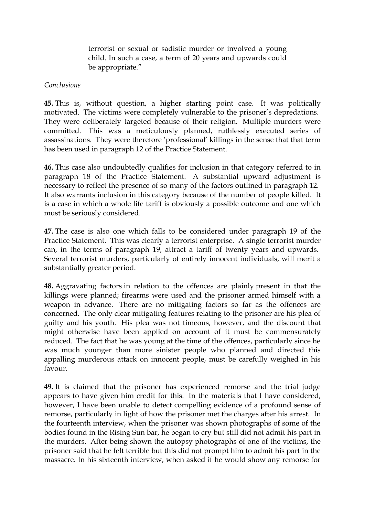terrorist or sexual or sadistic murder or involved a young child. In such a case, a term of 20 years and upwards could be appropriate."

#### *Conclusions*

**45.** This is, without question, a higher starting point case. It was politically motivated. The victims were completely vulnerable to the prisoner's depredations. They were deliberately targeted because of their religion. Multiple murders were committed. This was a meticulously planned, ruthlessly executed series of assassinations. They were therefore 'professional' killings in the sense that that term has been used in paragraph 12 of the Practice Statement.

**46.** This case also undoubtedly qualifies for inclusion in that category referred to in paragraph 18 of the Practice Statement. A substantial upward adjustment is necessary to reflect the presence of so many of the factors outlined in paragraph 12. It also warrants inclusion in this category because of the number of people killed. It is a case in which a whole life tariff is obviously a possible outcome and one which must be seriously considered.

**47.** The case is also one which falls to be considered under paragraph 19 of the Practice Statement. This was clearly a terrorist enterprise. A single terrorist murder can, in the terms of paragraph 19, attract a tariff of twenty years and upwards. Several terrorist murders, particularly of entirely innocent individuals, will merit a substantially greater period.

**48.** Aggravating factors in relation to the offences are plainly present in that the killings were planned; firearms were used and the prisoner armed himself with a weapon in advance. There are no mitigating factors so far as the offences are concerned. The only clear mitigating features relating to the prisoner are his plea of guilty and his youth. His plea was not timeous, however, and the discount that might otherwise have been applied on account of it must be commensurately reduced. The fact that he was young at the time of the offences, particularly since he was much younger than more sinister people who planned and directed this appalling murderous attack on innocent people, must be carefully weighed in his favour.

**49.** It is claimed that the prisoner has experienced remorse and the trial judge appears to have given him credit for this. In the materials that I have considered, however, I have been unable to detect compelling evidence of a profound sense of remorse, particularly in light of how the prisoner met the charges after his arrest. In the fourteenth interview, when the prisoner was shown photographs of some of the bodies found in the Rising Sun bar, he began to cry but still did not admit his part in the murders. After being shown the autopsy photographs of one of the victims, the prisoner said that he felt terrible but this did not prompt him to admit his part in the massacre. In his sixteenth interview, when asked if he would show any remorse for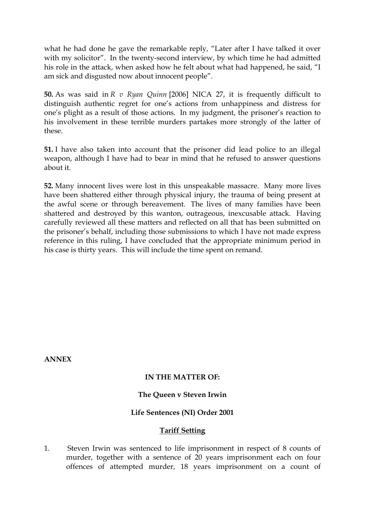what he had done he gave the remarkable reply, "Later after I have talked it over with my solicitor". In the twenty-second interview, by which time he had admitted his role in the attack, when asked how he felt about what had happened, he said, "I am sick and disgusted now about innocent people".

**50.** As was said in *R v Ryan Quinn* [2006] NICA 27, it is frequently difficult to distinguish authentic regret for one's actions from unhappiness and distress for one's plight as a result of those actions. In my judgment, the prisoner's reaction to his involvement in these terrible murders partakes more strongly of the latter of these.

**51.** I have also taken into account that the prisoner did lead police to an illegal weapon, although I have had to bear in mind that he refused to answer questions about it.

**52.** Many innocent lives were lost in this unspeakable massacre. Many more lives have been shattered either through physical injury, the trauma of being present at the awful scene or through bereavement. The lives of many families have been shattered and destroyed by this wanton, outrageous, inexcusable attack. Having carefully reviewed all these matters and reflected on all that has been submitted on the prisoner's behalf, including those submissions to which I have not made express reference in this ruling, I have concluded that the appropriate minimum period in his case is thirty years. This will include the time spent on remand.

**ANNEX**

# **IN THE MATTER OF:**

### **The Queen v Steven Irwin**

### **Life Sentences (NI) Order 2001**

#### **Tariff Setting**

1. Steven Irwin was sentenced to life imprisonment in respect of 8 counts of murder, together with a sentence of 20 years imprisonment each on four offences of attempted murder, 18 years imprisonment on a count of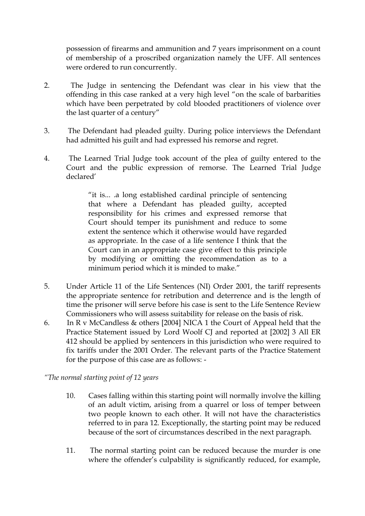possession of firearms and ammunition and 7 years imprisonment on a count of membership of a proscribed organization namely the UFF. All sentences were ordered to run concurrently.

- 2. The Judge in sentencing the Defendant was clear in his view that the offending in this case ranked at a very high level "on the scale of barbarities which have been perpetrated by cold blooded practitioners of violence over the last quarter of a century"
- 3. The Defendant had pleaded guilty. During police interviews the Defendant had admitted his guilt and had expressed his remorse and regret.
- 4. The Learned Trial Judge took account of the plea of guilty entered to the Court and the public expression of remorse. The Learned Trial Judge declared'

"it is... .a long established cardinal principle of sentencing that where a Defendant has pleaded guilty, accepted responsibility for his crimes and expressed remorse that Court should temper its punishment and reduce to some extent the sentence which it otherwise would have regarded as appropriate. In the case of a life sentence I think that the Court can in an appropriate case give effect to this principle by modifying or omitting the recommendation as to a minimum period which it is minded to make."

- 5. Under Article 11 of the Life Sentences (NI) Order 2001, the tariff represents the appropriate sentence for retribution and deterrence and is the length of time the prisoner will serve before his case is sent to the Life Sentence Review Commissioners who will assess suitability for release on the basis of risk.
- 6. In R v McCandless & others [2004] NICA 1 the Court of Appeal held that the Practice Statement issued by Lord Woolf CJ and reported at [2002] 3 All ER 412 should be applied by sentencers in this jurisdiction who were required to fix tariffs under the 2001 Order. The relevant parts of the Practice Statement for the purpose of this case are as follows: -

*"The normal starting point of 12 years*

- 10. Cases falling within this starting point will normally involve the killing of an adult victim, arising from a quarrel or loss of temper between two people known to each other. It will not have the characteristics referred to in para 12. Exceptionally, the starting point may be reduced because of the sort of circumstances described in the next paragraph.
- 11. The normal starting point can be reduced because the murder is one where the offender's culpability is significantly reduced, for example,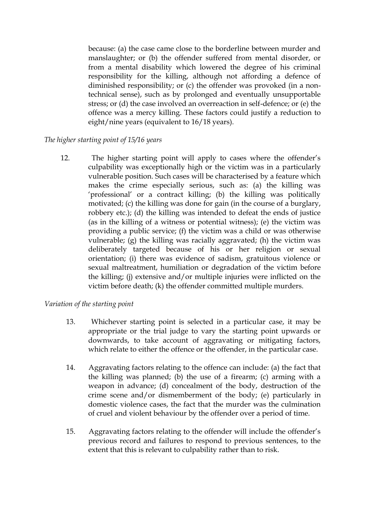because: (a) the case came close to the borderline between murder and manslaughter; or (b) the offender suffered from mental disorder, or from a mental disability which lowered the degree of his criminal responsibility for the killing, although not affording a defence of diminished responsibility; or (c) the offender was provoked (in a nontechnical sense), such as by prolonged and eventually unsupportable stress; or (d) the case involved an overreaction in self-defence; or (e) the offence was a mercy killing. These factors could justify a reduction to eight/nine years (equivalent to 16/18 years).

## *The higher starting point of 15/16 years*

12. The higher starting point will apply to cases where the offender's culpability was exceptionally high or the victim was in a particularly vulnerable position. Such cases will be characterised by a feature which makes the crime especially serious, such as: (a) the killing was 'professional' or a contract killing; (b) the killing was politically motivated; (c) the killing was done for gain (in the course of a burglary, robbery etc.); (d) the killing was intended to defeat the ends of justice (as in the killing of a witness or potential witness); (e) the victim was providing a public service; (f) the victim was a child or was otherwise vulnerable; (g) the killing was racially aggravated; (h) the victim was deliberately targeted because of his or her religion or sexual orientation; (i) there was evidence of sadism, gratuitous violence or sexual maltreatment, humiliation or degradation of the victim before the killing; (j) extensive and/or multiple injuries were inflicted on the victim before death; (k) the offender committed multiple murders.

### *Variation of the starting point*

- 13. Whichever starting point is selected in a particular case, it may be appropriate or the trial judge to vary the starting point upwards or downwards, to take account of aggravating or mitigating factors, which relate to either the offence or the offender, in the particular case.
- 14. Aggravating factors relating to the offence can include: (a) the fact that the killing was planned; (b) the use of a firearm; (c) arming with a weapon in advance; (d) concealment of the body, destruction of the crime scene and/or dismemberment of the body; (e) particularly in domestic violence cases, the fact that the murder was the culmination of cruel and violent behaviour by the offender over a period of time.
- 15. Aggravating factors relating to the offender will include the offender's previous record and failures to respond to previous sentences, to the extent that this is relevant to culpability rather than to risk.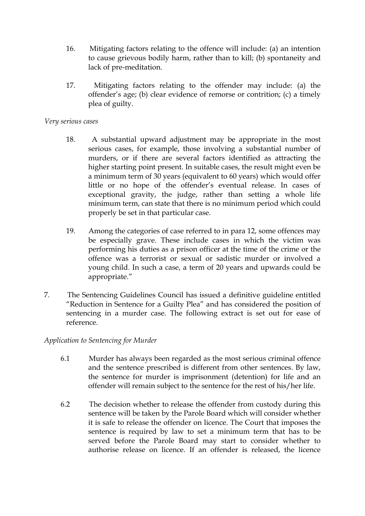- 16. Mitigating factors relating to the offence will include: (a) an intention to cause grievous bodily harm, rather than to kill; (b) spontaneity and lack of pre-meditation.
- 17. Mitigating factors relating to the offender may include: (a) the offender's age; (b) clear evidence of remorse or contrition; (c) a timely plea of guilty.

#### *Very serious cases*

- 18. A substantial upward adjustment may be appropriate in the most serious cases, for example, those involving a substantial number of murders, or if there are several factors identified as attracting the higher starting point present. In suitable cases, the result might even be a minimum term of 30 years (equivalent to 60 years) which would offer little or no hope of the offender's eventual release. In cases of exceptional gravity, the judge, rather than setting a whole life minimum term, can state that there is no minimum period which could properly be set in that particular case.
- 19. Among the categories of case referred to in para 12, some offences may be especially grave. These include cases in which the victim was performing his duties as a prison officer at the time of the crime or the offence was a terrorist or sexual or sadistic murder or involved a young child. In such a case, a term of 20 years and upwards could be appropriate."
- 7. The Sentencing Guidelines Council has issued a definitive guideline entitled "Reduction in Sentence for a Guilty Plea" and has considered the position of sentencing in a murder case. The following extract is set out for ease of reference.

### *Application to Sentencing for Murder*

- 6.1 Murder has always been regarded as the most serious criminal offence and the sentence prescribed is different from other sentences. By law, the sentence for murder is imprisonment (detention) for life and an offender will remain subject to the sentence for the rest of his/her life.
- 6.2 The decision whether to release the offender from custody during this sentence will be taken by the Parole Board which will consider whether it is safe to release the offender on licence. The Court that imposes the sentence is required by law to set a minimum term that has to be served before the Parole Board may start to consider whether to authorise release on licence. If an offender is released, the licence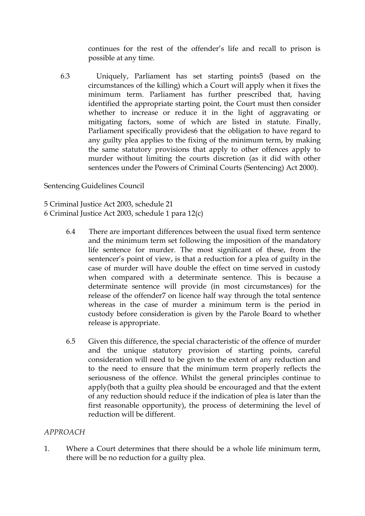continues for the rest of the offender's life and recall to prison is possible at any time.

6.3 Uniquely, Parliament has set starting points5 (based on the circumstances of the killing) which a Court will apply when it fixes the minimum term. Parliament has further prescribed that, having identified the appropriate starting point, the Court must then consider whether to increase or reduce it in the light of aggravating or mitigating factors, some of which are listed in statute. Finally, Parliament specifically provides6 that the obligation to have regard to any guilty plea applies to the fixing of the minimum term, by making the same statutory provisions that apply to other offences apply to murder without limiting the courts discretion (as it did with other sentences under the Powers of Criminal Courts (Sentencing) Act 2000).

Sentencing Guidelines Council

5 Criminal Justice Act 2003, schedule 21

6 Criminal Justice Act 2003, schedule 1 para 12(c)

- 6.4 There are important differences between the usual fixed term sentence and the minimum term set following the imposition of the mandatory life sentence for murder. The most significant of these, from the sentencer's point of view, is that a reduction for a plea of guilty in the case of murder will have double the effect on time served in custody when compared with a determinate sentence. This is because a determinate sentence will provide (in most circumstances) for the release of the offender7 on licence half way through the total sentence whereas in the case of murder a minimum term is the period in custody before consideration is given by the Parole Board to whether release is appropriate.
- 6.5 Given this difference, the special characteristic of the offence of murder and the unique statutory provision of starting points, careful consideration will need to be given to the extent of any reduction and to the need to ensure that the minimum term properly reflects the seriousness of the offence. Whilst the general principles continue to apply(both that a guilty plea should be encouraged and that the extent of any reduction should reduce if the indication of plea is later than the first reasonable opportunity), the process of determining the level of reduction will be different.

# *APPROACH*

1. Where a Court determines that there should be a whole life minimum term, there will be no reduction for a guilty plea.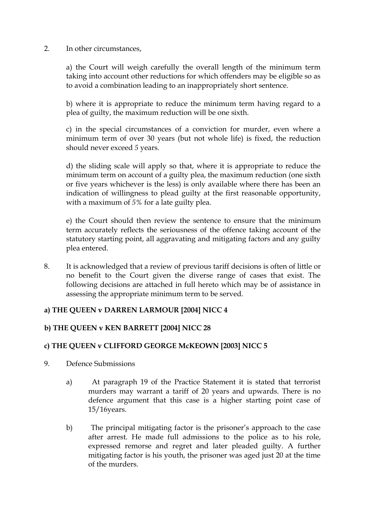2. In other circumstances,

a) the Court will weigh carefully the overall length of the minimum term taking into account other reductions for which offenders may be eligible so as to avoid a combination leading to an inappropriately short sentence.

b) where it is appropriate to reduce the minimum term having regard to a plea of guilty, the maximum reduction will be one sixth.

c) in the special circumstances of a conviction for murder, even where a minimum term of over 30 years (but not whole life) is fixed, the reduction should never exceed *5* years.

d) the sliding scale will apply so that, where it is appropriate to reduce the minimum term on account of a guilty plea, the maximum reduction (one sixth or five years whichever is the less) is only available where there has been an indication of willingness to plead guilty at the first reasonable opportunity, with a maximum of *5%* for a late guilty plea.

e) the Court should then review the sentence to ensure that the minimum term accurately reflects the seriousness of the offence taking account of the statutory starting point, all aggravating and mitigating factors and any guilty plea entered.

8. It is acknowledged that a review of previous tariff decisions is often of little or no benefit to the Court given the diverse range of cases that exist. The following decisions are attached in full hereto which may be of assistance in assessing the appropriate minimum term to be served.

# **a) THE QUEEN v DARREN LARMOUR [2004] NICC 4**

# **b) THE QUEEN v KEN BARRETT [2004] NICC 28**

# **c) THE QUEEN v CLIFFORD GEORGE McKEOWN [2003] NICC 5**

- 9. Defence Submissions
	- a) At paragraph 19 of the Practice Statement it is stated that terrorist murders may warrant a tariff of 20 years and upwards. There is no defence argument that this case is a higher starting point case of 15/16years.
	- b) The principal mitigating factor is the prisoner's approach to the case after arrest. He made full admissions to the police as to his role, expressed remorse and regret and later pleaded guilty. A further mitigating factor is his youth, the prisoner was aged just 20 at the time of the murders.